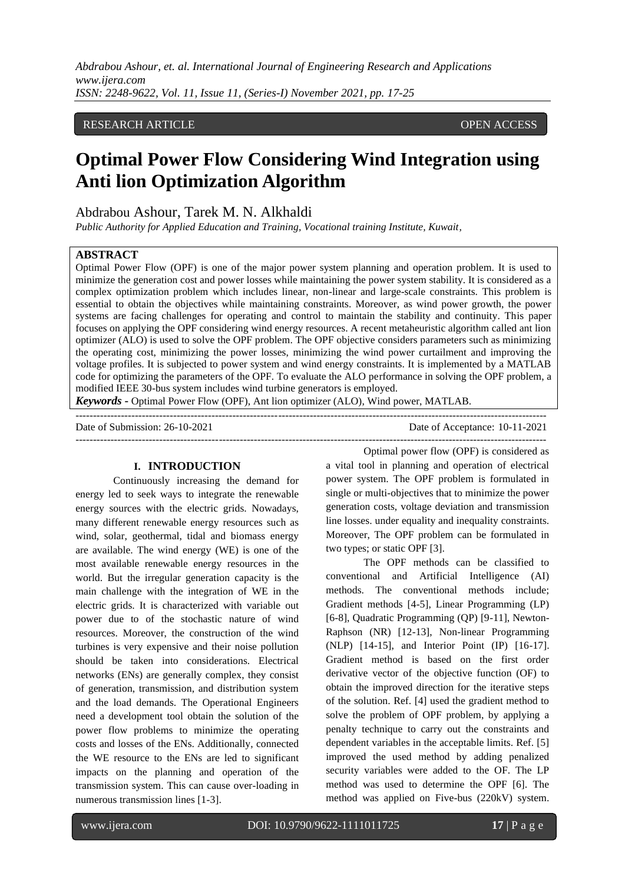*Abdrabou Ashour, et. al. International Journal of Engineering Research and Applications www.ijera.com ISSN: 2248-9622, Vol. 11, Issue 11, (Series-I) November 2021, pp. 17-25*

# RESEARCH ARTICLE **CONSERVERS** OPEN ACCESS

# **Optimal Power Flow Considering Wind Integration using Anti lion Optimization Algorithm**

# Abdrabou Ashour, Tarek M. N. Alkhaldi

*Public Authority for Applied Education and Training, Vocational training Institute, Kuwait,* 

#### **ABSTRACT**

Optimal Power Flow (OPF) is one of the major power system planning and operation problem. It is used to minimize the generation cost and power losses while maintaining the power system stability. It is considered as a complex optimization problem which includes linear, non-linear and large-scale constraints. This problem is essential to obtain the objectives while maintaining constraints. Moreover, as wind power growth, the power systems are facing challenges for operating and control to maintain the stability and continuity. This paper focuses on applying the OPF considering wind energy resources. A recent metaheuristic algorithm called ant lion optimizer (ALO) is used to solve the OPF problem. The OPF objective considers parameters such as minimizing the operating cost, minimizing the power losses, minimizing the wind power curtailment and improving the voltage profiles. It is subjected to power system and wind energy constraints. It is implemented by a MATLAB code for optimizing the parameters of the OPF. To evaluate the ALO performance in solving the OPF problem, a modified IEEE 30-bus system includes wind turbine generators is employed.

---------------------------------------------------------------------------------------------------------------------------------------

*Keywords* **-** Optimal Power Flow (OPF), Ant lion optimizer (ALO), Wind power, MATLAB.

Date of Submission: 26-10-2021 Date of Acceptance: 10-11-2021

---------------------------------------------------------------------------------------------------------------------------------------

#### **I. INTRODUCTION**

Continuously increasing the demand for energy led to seek ways to integrate the renewable energy sources with the electric grids. Nowadays, many different renewable energy resources such as wind, solar, geothermal, tidal and biomass energy are available. The wind energy (WE) is one of the most available renewable energy resources in the world. But the irregular generation capacity is the main challenge with the integration of WE in the electric grids. It is characterized with variable out power due to of the stochastic nature of wind resources. Moreover, the construction of the wind turbines is very expensive and their noise pollution should be taken into considerations. Electrical networks (ENs) are generally complex, they consist of generation, transmission, and distribution system and the load demands. The Operational Engineers need a development tool obtain the solution of the power flow problems to minimize the operating costs and losses of the ENs. Additionally, connected the WE resource to the ENs are led to significant impacts on the planning and operation of the transmission system. This can cause over-loading in numerous transmission lines [1-3].

Optimal power flow (OPF) is considered as

a vital tool in planning and operation of electrical power system. The OPF problem is formulated in single or multi-objectives that to minimize the power generation costs, voltage deviation and transmission line losses. under equality and inequality constraints. Moreover, The OPF problem can be formulated in two types; or static OPF [3].

The OPF methods can be classified to conventional and Artificial Intelligence (AI) methods. The conventional methods include; Gradient methods [4-5], Linear Programming (LP) [6-8], Quadratic Programming (QP) [9-11], Newton-Raphson (NR) [12-13], Non-linear Programming (NLP) [14-15], and Interior Point (IP) [16-17]. Gradient method is based on the first order derivative vector of the objective function (OF) to obtain the improved direction for the iterative steps of the solution. Ref. [4] used the gradient method to solve the problem of OPF problem, by applying a penalty technique to carry out the constraints and dependent variables in the acceptable limits. Ref. [5] improved the used method by adding penalized security variables were added to the OF. The LP method was used to determine the OPF [6]. The method was applied on Five-bus (220kV) system.

www.ijera.com DOI: 10.9790/9622-1111011725 **17** | P a g e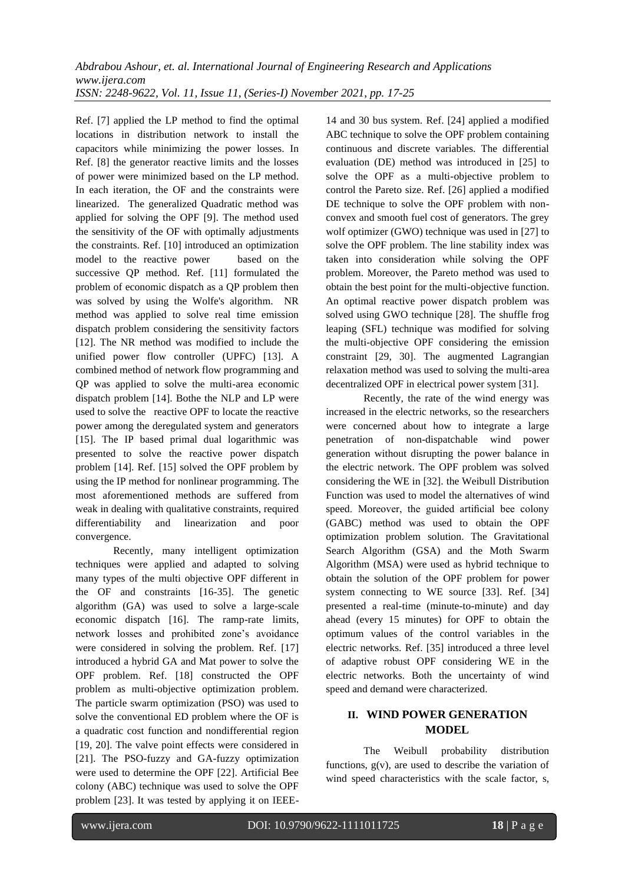Ref. [7] applied the LP method to find the optimal locations in distribution network to install the capacitors while minimizing the power losses. In Ref. [8] the generator reactive limits and the losses of power were minimized based on the LP method. In each iteration, the OF and the constraints were linearized. The generalized Quadratic method was applied for solving the OPF [9]. The method used the sensitivity of the OF with optimally adjustments the constraints. Ref. [10] introduced an optimization model to the reactive power based on the successive QP method. Ref. [11] formulated the problem of economic dispatch as a QP problem then was solved by using the Wolfe's algorithm. NR method was applied to solve real time emission dispatch problem considering the sensitivity factors [12]. The NR method was modified to include the unified power flow controller (UPFC) [13]. A combined method of network flow programming and QP was applied to solve the multi-area economic dispatch problem [14]. Bothe the NLP and LP were used to solve the reactive OPF to locate the reactive power among the deregulated system and generators [15]. The IP based primal dual logarithmic was presented to solve the reactive power dispatch problem [14]. Ref. [15] solved the OPF problem by using the IP method for nonlinear programming. The most aforementioned methods are suffered from weak in dealing with qualitative constraints, required differentiability and linearization and poor convergence.

Recently, many intelligent optimization techniques were applied and adapted to solving many types of the multi objective OPF different in the OF and constraints [16-35]. The genetic algorithm (GA) was used to solve a large-scale economic dispatch [16]. The ramp-rate limits, network losses and prohibited zone's avoidance were considered in solving the problem. Ref. [17] introduced a hybrid GA and Mat power to solve the OPF problem. Ref. [18] constructed the OPF problem as multi-objective optimization problem. The particle swarm optimization (PSO) was used to solve the conventional ED problem where the OF is a quadratic cost function and nondifferential region [19, 20]. The valve point effects were considered in [21]. The PSO-fuzzy and GA-fuzzy optimization were used to determine the OPF [22]. Artificial Bee colony (ABC) technique was used to solve the OPF problem [23]. It was tested by applying it on IEEE-

14 and 30 bus system. Ref. [24] applied a modified ABC technique to solve the OPF problem containing continuous and discrete variables. The differential evaluation (DE) method was introduced in [25] to solve the OPF as a multi-objective problem to control the Pareto size. Ref. [26] applied a modified DE technique to solve the OPF problem with nonconvex and smooth fuel cost of generators. The grey wolf optimizer (GWO) technique was used in [27] to solve the OPF problem. The line stability index was taken into consideration while solving the OPF problem. Moreover, the Pareto method was used to obtain the best point for the multi-objective function. An optimal reactive power dispatch problem was solved using GWO technique [28]. The shuffle frog leaping (SFL) technique was modified for solving the multi-objective OPF considering the emission constraint [29, 30]. The augmented Lagrangian relaxation method was used to solving the multi-area decentralized OPF in electrical power system [31].

Recently, the rate of the wind energy was increased in the electric networks, so the researchers were concerned about how to integrate a large penetration of non-dispatchable wind power generation without disrupting the power balance in the electric network. The OPF problem was solved considering the WE in [32]. the Weibull Distribution Function was used to model the alternatives of wind speed. Moreover, the guided artificial bee colony (GABC) method was used to obtain the OPF optimization problem solution. The Gravitational Search Algorithm (GSA) and the Moth Swarm Algorithm (MSA) were used as hybrid technique to obtain the solution of the OPF problem for power system connecting to WE source [33]. Ref. [34] presented a real-time (minute-to-minute) and day ahead (every 15 minutes) for OPF to obtain the optimum values of the control variables in the electric networks. Ref. [35] introduced a three level of adaptive robust OPF considering WE in the electric networks. Both the uncertainty of wind speed and demand were characterized.

# **II. WIND POWER GENERATION MODEL**

The Weibull probability distribution functions,  $g(v)$ , are used to describe the variation of wind speed characteristics with the scale factor, s,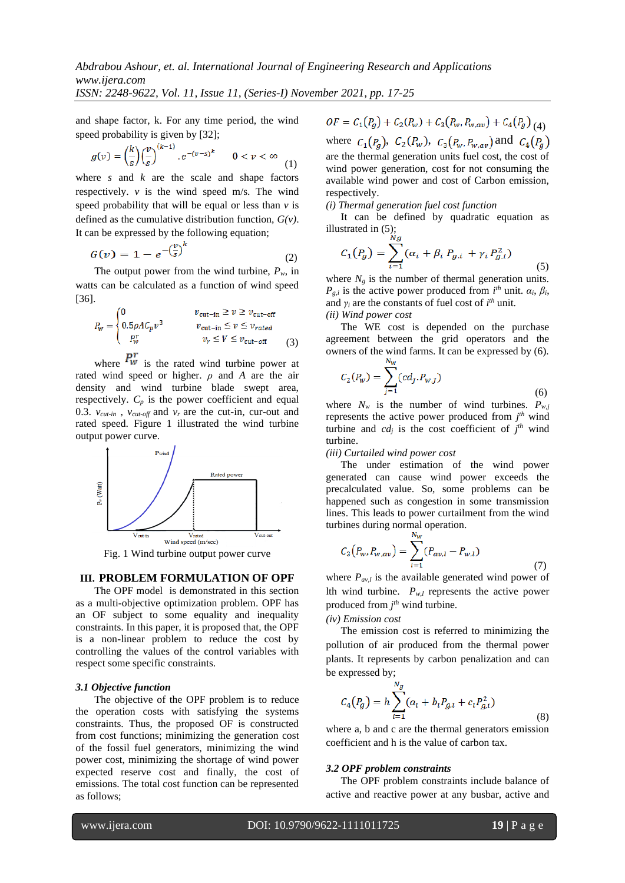and shape factor, k. For any time period, the wind speed probability is given by [32];

$$
g(v) = \left(\frac{k}{s}\right) \left(\frac{v}{s}\right)^{(k-1)} \cdot e^{-(v-s)^k} \qquad 0 < v < \infty \tag{1}
$$

where  $s$  and  $k$  are the scale and shape factors respectively.  $\nu$  is the wind speed m/s. The wind speed probability that will be equal or less than *v* is defined as the cumulative distribution function, *G(v)*. It can be expressed by the following equation;

$$
G(v) = 1 - e^{-\left(\frac{v}{s}\right)^k} \tag{2}
$$

The output power from the wind turbine,  $P_w$ , in watts can be calculated as a function of wind speed [36].

$$
P_{w} = \begin{cases} 0 & v_{\text{cut-in}} \ge v \ge v_{\text{cut-off}} \\ 0.5\rho A C_{p} v^{3} & v_{\text{cut-in}} \le v \le v_{\text{rated}} \\ P_{w}^{r} & v_{r} \le V \le v_{\text{cut-off}} \end{cases}
$$
(3)

where  $P_w'$  is the rated wind turbine power at rated wind speed or higher. *ρ* and *A* are the air density and wind turbine blade swept area, respectively.  $C_p$  is the power coefficient and equal 0.3.  $v_{\text{cut-in}}$ ,  $v_{\text{cut-off}}$  and  $v_r$  are the cut-in, cur-out and rated speed. Figure 1 illustrated the wind turbine output power curve.



Fig. 1 Wind turbine output power curve

#### **III. PROBLEM FORMULATION OF OPF**

The OPF model is demonstrated in this section as a multi-objective optimization problem. OPF has an OF subject to some equality and inequality constraints. In this paper, it is proposed that, the OPF is a non-linear problem to reduce the cost by controlling the values of the control variables with respect some specific constraints.

#### *3.1 Objective function*

The objective of the OPF problem is to reduce the operation costs with satisfying the systems constraints. Thus, the proposed OF is constructed from cost functions; minimizing the generation cost of the fossil fuel generators, minimizing the wind power cost, minimizing the shortage of wind power expected reserve cost and finally, the cost of emissions. The total cost function can be represented as follows;

 $OF = C_1(P_g) + C_2(P_w) + C_3(P_w, P_{w,av}) + C_4(P_g)_{(A)}$ where  $C_1(P_q)$ ,  $C_2(P_w)$ ,  $C_3(P_w, P_{w,av})$  and  $C_4(P_q)$ are the thermal generation units fuel cost, the cost of wind power generation, cost for not consuming the available wind power and cost of Carbon emission, respectively.

*(i) Thermal generation fuel cost function*

It can be defined by quadratic equation as illustrated in (5);

$$
C_1(P_g) = \sum_{i=1}^{N} (\alpha_i + \beta_i P_{g,i} + \gamma_i P_{g,i}^2)
$$
 (5)

where  $N_g$  is the number of thermal generation units. *P*<sub>*g*,*i*</sub> is the active power produced from  $i^{th}$  unit.  $\alpha_i$ ,  $\beta_i$ , and  $\gamma_i$  are the constants of fuel cost of  $i^{th}$  unit. *(ii) Wind power cost*

The WE cost is depended on the purchase agreement between the grid operators and the owners of the wind farms. It can be expressed by (6).

$$
C_2(P_w) = \sum_{j=1} (cd_j.P_{w,j})
$$
\n(6)

where  $N_w$  is the number of wind turbines.  $P_{w,j}$ represents the active power produced from  $j<sup>th</sup>$  wind turbine and  $cd_j$  is the cost coefficient of  $j<sup>th</sup>$  wind turbine.

#### *(iii) Curtailed wind power cost*

The under estimation of the wind power generated can cause wind power exceeds the precalculated value. So, some problems can be happened such as congestion in some transmission lines. This leads to power curtailment from the wind turbines during normal operation.

$$
C_3(P_w, P_{w,av}) = \sum_{l=1}^{N_w} (P_{av,l} - P_{w,l})
$$
\n(7)

where  $P_{av,l}$  is the available generated wind power of Ith wind turbine.  $P_{w,l}$  represents the active power produced from  $j<sup>th</sup>$  wind turbine.

# *(iv) Emission cost*

The emission cost is referred to minimizing the pollution of air produced from the thermal power plants. It represents by carbon penalization and can be expressed by;

$$
C_4(P_g) = h \sum_{i=1}^{N_g} (a_i + b_i P_{g,i} + c_i P_{g,i}^2)
$$
\n(8)

where a, b and c are the thermal generators emission coefficient and h is the value of carbon tax.

#### *3.2 OPF problem constraints*

The OPF problem constraints include balance of active and reactive power at any busbar, active and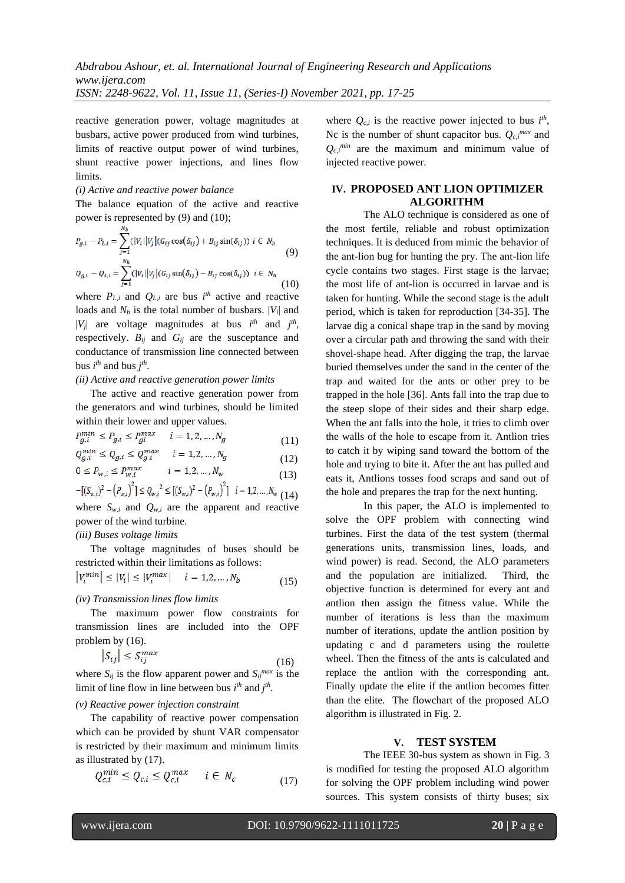reactive generation power, voltage magnitudes at busbars, active power produced from wind turbines, limits of reactive output power of wind turbines, shunt reactive power injections, and lines flow limits.

# *(i) Active and reactive power balance*

The balance equation of the active and reactive power is represented by (9) and (10);

$$
P_{g,i} - P_{L,i} = \sum_{j=1}^{N_b} (|V_i||V_j|(G_{ij}\cos(\delta_{ij}) + B_{ij}\sin(\delta_{ij})) i \in N_b
$$
  
\n
$$
Q_{g,i} - Q_{L,i} = \sum_{j=1}^{N_b} (|V_i||V_j|(G_{ij}\sin(\delta_{ij}) - B_{ij}\cos(\delta_{ij})) i \in N_b
$$
\n(10)

where  $P_{L,i}$  and  $Q_{L,i}$  are bus  $i^{th}$  active and reactive loads and  $N_b$  is the total number of busbars.  $|V_i|$  and  $|V_j|$  are voltage magnitudes at bus  $i^{th}$  and  $j^{th}$ , respectively.  $B_{ij}$  and  $G_{ij}$  are the susceptance and conductance of transmission line connected between bus  $i^{th}$  and bus  $j^{th}$ .

#### *(ii) Active and reactive generation power limits*

The active and reactive generation power from the generators and wind turbines, should be limited within their lower and upper values.

$$
P_{g,i}^{min} \le P_{g,i} \le P_{gi}^{max} \qquad i = 1, 2, ..., N_g
$$
\n
$$
Q_{g,i}^{min} < Q_{g,i} < Q_{g,i}^{max} \qquad i = 1, 2, ..., N_g
$$
\n
$$
(11)
$$

$$
Q_{g,i} \ge Q_{g,i} \ge Q_{g,i} \qquad i = 1,2,...,N_g
$$
\n
$$
0 \le P_{w,i} \le P_{w,i}^{max} \qquad i = 1,2,...,N_{w}
$$
\n(12)

$$
0 \le P_{w,i} \le P_{w,i} \quad t = 1, 2, ..., N_w
$$
\n
$$
-[(S_{w,i})^2 - (P_{w,i})^2] \le Q_{w,i}^2 \le [(S_{w,i})^2 - (P_{w,i})^2] \quad i = 1, 2, ..., N_w
$$
\n
$$
(13)
$$

where  $S_{w,i}$  and  $Q_{w,i}$  are the apparent and reactive power of the wind turbine.

# *(iii) Buses voltage limits*

The voltage magnitudes of buses should be restricted within their limitations as follows:

$$
|V_i^{min}| \le |V_i| \le |V_i^{max}| \quad i = 1, 2, ..., N_b \tag{15}
$$

#### *(iv) Transmission lines flow limits*

The maximum power flow constraints for transmission lines are included into the OPF problem by (16).

$$
\left|S_{ij}\right| \le S_{ij}^{max} \tag{16}
$$

where  $S_{ij}$  is the flow apparent power and  $S_{ij}^{max}$  is the limit of line flow in line between bus  $i^{th}$  and  $j^{th}$ .

# *(v) Reactive power injection constraint*

The capability of reactive power compensation which can be provided by shunt VAR compensator is restricted by their maximum and minimum limits as illustrated by (17).

$$
Q_{c,i}^{min} \le Q_{c,i} \le Q_{c,i}^{max} \qquad i \in N_c \tag{17}
$$

where  $Q_{c,i}$  is the reactive power injected to bus  $i^{th}$ , Nc is the number of shunt capacitor bus.  $Q_{c,i}^{max}$  and  $Q_{c,i}^{min}$  are the maximum and minimum value of injected reactive power.

# **IV. PROPOSED ANT LION OPTIMIZER ALGORITHM**

The ALO technique is considered as one of the most fertile, reliable and robust optimization techniques. It is deduced from mimic the behavior of the ant-lion bug for hunting the pry. The ant-lion life cycle contains two stages. First stage is the larvae; the most life of ant-lion is occurred in larvae and is taken for hunting. While the second stage is the adult period, which is taken for reproduction [34-35]. The larvae dig a conical shape trap in the sand by moving over a circular path and throwing the sand with their shovel-shape head. After digging the trap, the larvae buried themselves under the sand in the center of the trap and waited for the ants or other prey to be trapped in the hole [36]. Ants fall into the trap due to the steep slope of their sides and their sharp edge. When the ant falls into the hole, it tries to climb over the walls of the hole to escape from it. Antlion tries to catch it by wiping sand toward the bottom of the hole and trying to bite it. After the ant has pulled and eats it, Antlions tosses food scraps and sand out of the hole and prepares the trap for the next hunting.

In this paper, the ALO is implemented to solve the OPF problem with connecting wind turbines. First the data of the test system (thermal generations units, transmission lines, loads, and wind power) is read. Second, the ALO parameters and the population are initialized. Third, the objective function is determined for every ant and antlion then assign the fitness value. While the number of iterations is less than the maximum number of iterations, update the antlion position by updating c and d parameters using the roulette wheel. Then the fitness of the ants is calculated and replace the antlion with the corresponding ant. Finally update the elite if the antlion becomes fitter than the elite. The flowchart of the proposed ALO algorithm is illustrated in Fig. 2.

# **V. TEST SYSTEM**

The IEEE 30-bus system as shown in Fig. 3 is modified for testing the proposed ALO algorithm for solving the OPF problem including wind power sources. This system consists of thirty buses; six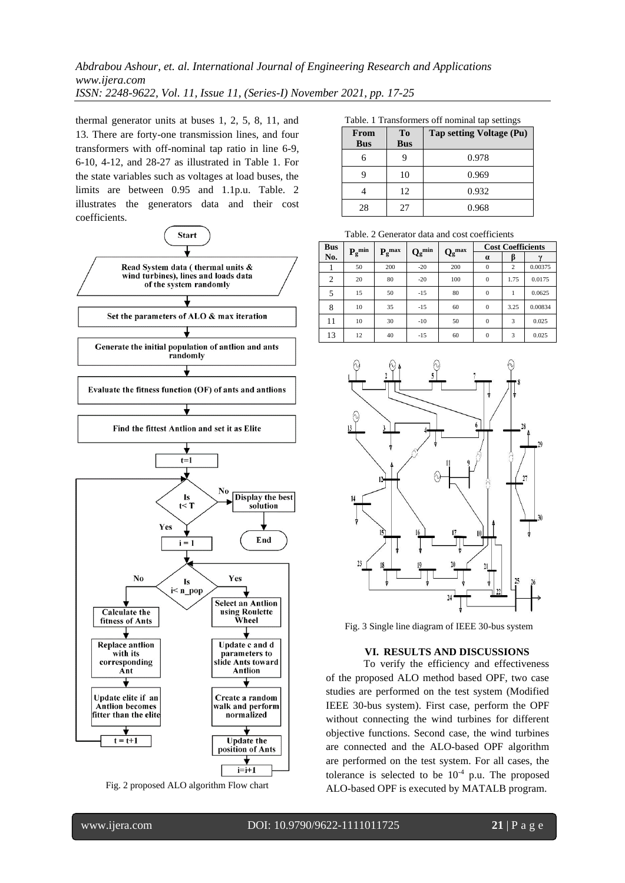thermal generator units at buses 1, 2, 5, 8, 11, and 13. There are forty-one transmission lines, and four transformers with off-nominal tap ratio in line 6-9, 6-10, 4-12, and 28-27 as illustrated in Table 1. For the state variables such as voltages at load buses, the limits are between 0.95 and 1.1p.u. Table. 2 illustrates the generators data and their cost coefficients.



Fig. 2 proposed ALO algorithm Flow chart

Table. 1 Transformers off nominal tap settings

| From<br><b>Bus</b> | <b>To</b><br><b>Bus</b> | Tap setting Voltage (Pu) |
|--------------------|-------------------------|--------------------------|
|                    |                         | 0.978                    |
|                    | 10                      | 0.969                    |
|                    | 12                      | 0.932                    |
| 28                 | 27                      | 0.968                    |

Table. 2 Generator data and cost coefficients

| <b>Bus</b> | $\mathbf{P_g}^{\min}$ |               | $Q_g^{min}$ |                               |              | <b>Cost Coefficients</b> |         |
|------------|-----------------------|---------------|-------------|-------------------------------|--------------|--------------------------|---------|
| No.        |                       | $P_{g}^{max}$ |             | $\mathbf{Q_g}^{\mathrm{max}}$ | $\alpha$     |                          |         |
|            | 50                    | 200           | $-20$       | 200                           | $\Omega$     | $\overline{c}$           | 0.00375 |
| 2          | 20                    | 80            | $-20$       | 100                           | $\mathbf{0}$ | 1.75                     | 0.0175  |
| 5          | 15                    | 50            | $-15$       | 80                            | $\mathbf{0}$ |                          | 0.0625  |
| 8          | 10                    | 35            | $-15$       | 60                            | $\mathbf{0}$ | 3.25                     | 0.00834 |
| 11         | 10                    | 30            | $-10$       | 50                            | $\mathbf{0}$ | 3                        | 0.025   |
| 13         | 12                    | 40            | $-15$       | 60                            | $\mathbf{0}$ | 3                        | 0.025   |



Fig. 3 Single line diagram of IEEE 30-bus system

#### **VI. RESULTS AND DISCUSSIONS**

To verify the efficiency and effectiveness of the proposed ALO method based OPF, two case studies are performed on the test system (Modified IEEE 30-bus system). First case, perform the OPF without connecting the wind turbines for different objective functions. Second case, the wind turbines are connected and the ALO-based OPF algorithm are performed on the test system. For all cases, the tolerance is selected to be  $10^{-4}$  p.u. The proposed ALO-based OPF is executed by MATALB program.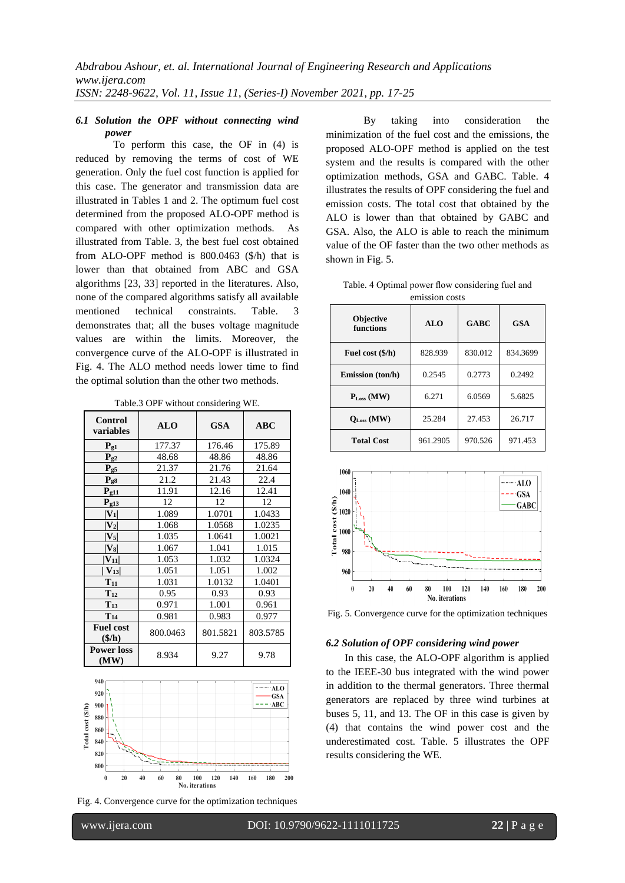# *6.1 Solution the OPF without connecting wind power*

To perform this case, the OF in (4) is reduced by removing the terms of cost of WE generation. Only the fuel cost function is applied for this case. The generator and transmission data are illustrated in Tables 1 and 2. The optimum fuel cost determined from the proposed ALO-OPF method is compared with other optimization methods. As illustrated from Table. 3, the best fuel cost obtained from ALO-OPF method is 800.0463 (\$/h) that is lower than that obtained from ABC and GSA algorithms [23, 33] reported in the literatures. Also, none of the compared algorithms satisfy all available mentioned technical constraints. Table. 3 demonstrates that; all the buses voltage magnitude values are within the limits. Moreover, the convergence curve of the ALO-OPF is illustrated in Fig. 4. The ALO method needs lower time to find the optimal solution than the other two methods.

Table.3 OPF without considering WE.

| <b>Control</b><br>variables                | <b>ALO</b> | <b>GSA</b> | <b>ABC</b> |
|--------------------------------------------|------------|------------|------------|
| $P_{g1}$                                   | 177.37     | 176.46     | 175.89     |
| $P_{g2}$                                   | 48.68      | 48.86      | 48.86      |
| $P_{g5}$                                   | 21.37      | 21.76      | 21.64      |
| $P_{g8}$                                   | 21.2       | 21.43      | 22.4       |
| $P_{g11}$                                  | 11.91      | 12.16      | 12.41      |
| $P_{g13}$                                  | 12         | 12         | 12         |
| $ V_1 $                                    | 1.089      | 1.0701     | 1.0433     |
| $ V_2 $                                    | 1.068      | 1.0568     | 1.0235     |
| $ {\bf V}_5 $                              | 1.035      | 1.0641     | 1.0021     |
| $ V_8 $                                    | 1.067      | 1.041      | 1.015      |
| $ V_{11} $                                 | 1.053      | 1.032      | 1.0324     |
| $ V_{13} $                                 | 1.051      | 1.051      | 1.002      |
| $T_{11}$                                   | 1.031      | 1.0132     | 1.0401     |
| $T_{12}$                                   | 0.95       | 0.93       | 0.93       |
| $T_{13}$                                   | 0.971      | 1.001      | 0.961      |
| $T_{14}$                                   | 0.981      | 0.983      | 0.977      |
| <b>Fuel cost</b><br>$(\frac{\epsilon}{h})$ | 800.0463   | 801.5821   | 803.5785   |
| <b>Power loss</b><br>(MW)                  | 8.934      | 9.27       | 9.78       |



Fig. 4. Convergence curve for the optimization techniques

By taking into consideration the minimization of the fuel cost and the emissions, the proposed ALO-OPF method is applied on the test system and the results is compared with the other optimization methods, GSA and GABC. Table. 4 illustrates the results of OPF considering the fuel and emission costs. The total cost that obtained by the ALO is lower than that obtained by GABC and GSA. Also, the ALO is able to reach the minimum value of the OF faster than the two other methods as shown in Fig. 5.

| Table. 4 Optimal power flow considering fuel and |  |
|--------------------------------------------------|--|
| emission costs                                   |  |

| <b>Objective</b><br>functions | ALO      | <b>GABC</b> | <b>GSA</b> |  |  |
|-------------------------------|----------|-------------|------------|--|--|
| Fuel cost (\$/h)              | 828.939  | 830.012     | 834.3699   |  |  |
| <b>Emission</b> (ton/h)       | 0.2545   | 0.2773      | 0.2492     |  |  |
| $P_{Loss}$ (MW)               | 6.271    | 6.0569      | 5.6825     |  |  |
| $Q_{Loss}$ (MW)               | 25.284   | 27.453      | 26.717     |  |  |
| <b>Total Cost</b>             | 961.2905 | 970.526     | 971.453    |  |  |



Fig. 5. Convergence curve for the optimization techniques

#### *6.2 Solution of OPF considering wind power*

In this case, the ALO-OPF algorithm is applied to the IEEE-30 bus integrated with the wind power in addition to the thermal generators. Three thermal generators are replaced by three wind turbines at buses 5, 11, and 13. The OF in this case is given by (4) that contains the wind power cost and the underestimated cost. Table. 5 illustrates the OPF results considering the WE.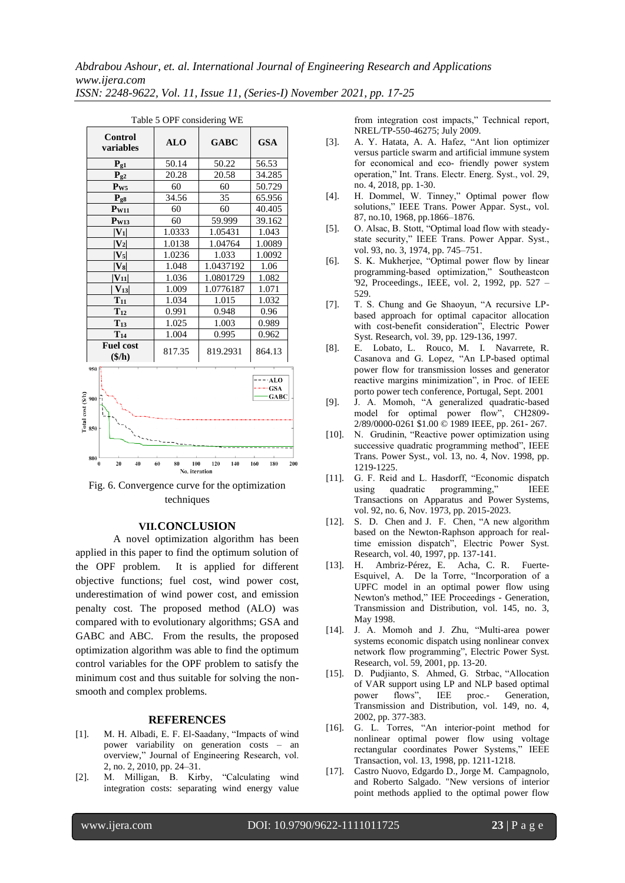| Control<br>variables                       | <b>ALO</b> | <b>GABC</b> | <b>GSA</b> |  |  |
|--------------------------------------------|------------|-------------|------------|--|--|
| $P_{g1}$                                   | 50.14      | 50.22       | 56.53      |  |  |
| $P_{g2}$                                   | 20.28      | 20.58       | 34.285     |  |  |
| $P_{W5}$                                   | 60         | 60          | 50.729     |  |  |
| $P_{g8}$                                   | 34.56      | 35          | 65.956     |  |  |
| $P_{W11}$                                  | 60         | 60          | 40.405     |  |  |
| $P_{W13}$                                  | 60         | 59.999      | 39.162     |  |  |
| $ V_1 $                                    | 1.0333     | 1.05431     | 1.043      |  |  |
| $ V_2 $                                    | 1.0138     | 1.04764     | 1.0089     |  |  |
| $ V_5 $                                    | 1.0236     | 1.033       | 1.0092     |  |  |
| $ V_8 $                                    | 1.048      | 1.0437192   | 1.06       |  |  |
| $ V_{11} $                                 | 1.036      | 1.0801729   | 1.082      |  |  |
| $ V_{13} $                                 | 1.009      | 1.0776187   | 1.071      |  |  |
| $T_{11}$                                   | 1.034      | 1.015       | 1.032      |  |  |
| $T_{12}$                                   | 0.991      | 0.948       | 0.96       |  |  |
| $T_{13}$                                   | 1.025      | 1.003       | 0.989      |  |  |
| $T_{14}$                                   | 1.004      | 0.995       | 0.962      |  |  |
| <b>Fuel cost</b><br>$(\frac{\epsilon}{h})$ | 817.35     | 819.2931    | 864.13     |  |  |

| Table 5 OPF considering WE |            |             |    |  |  |
|----------------------------|------------|-------------|----|--|--|
| ontrol<br><b>iables</b>    | <b>ALO</b> | <b>GABC</b> | C  |  |  |
| $P_{g1}$                   | 50.14      | 50.22       | 51 |  |  |



Fig. 6. Convergence curve for the optimization techniques

# **VII.CONCLUSION**

A novel optimization algorithm has been applied in this paper to find the optimum solution of the OPF problem. It is applied for different objective functions; fuel cost, wind power cost, underestimation of wind power cost, and emission penalty cost. The proposed method (ALO) was compared with to evolutionary algorithms; GSA and GABC and ABC. From the results, the proposed optimization algorithm was able to find the optimum control variables for the OPF problem to satisfy the minimum cost and thus suitable for solving the nonsmooth and complex problems.

#### **REFERENCES**

- [1]. M. H. Albadi, E. F. El-Saadany, "Impacts of wind power variability on generation costs – an overview," Journal of Engineering Research, vol. 2, no. 2, 2010, pp. 24–31.
- [2]. M. Milligan, B. Kirby, "Calculating wind integration costs: separating wind energy value

from integration cost impacts," Technical report, NREL/TP-550-46275; July 2009.

- [3]. A. Y. Hatata, A. A. Hafez, "Ant lion optimizer versus particle swarm and artificial immune system for economical and eco‐ friendly power system operation," Int. Trans. Electr. Energ. Syst., vol. 29, no. 4, 2018, pp. 1-30.
- [4]. H. Dommel, W. Tinney," Optimal power flow solutions," IEEE Trans. Power Appar. Syst., vol. 87, no.10, 1968, pp.1866–1876.
- [5]. O. Alsac, B. Stott, "Optimal load flow with steadystate security," IEEE Trans. Power Appar. Syst., vol. 93, no. 3, 1974, pp. 745–751.
- [6]. S. K. Mukherjee, "Optimal power flow by linear programming-based optimization," Southeastcon '92, Proceedings., IEEE, vol. 2, 1992, pp. 527 – 529.
- [7]. T. S. Chung and Ge Shaoyun, "A recursive LPbased approach for optimal capacitor allocation with cost-benefit consideration", Electric Power Syst. Research, vol. 39, pp. 129-136, 1997.
- [8]. E. Lobato, L. Rouco, M. I. Navarrete, R. Casanova and G. Lopez, "An LP-based optimal power flow for transmission losses and generator reactive margins minimization", in Proc. of IEEE porto power tech conference, Portugal, Sept. 2001
- [9]. J. A. Momoh, "A generalized quadratic-based model for optimal power flow", CH2809- 2/89/0000-0261 \$1.00 © 1989 IEEE, pp. 261- 267.
- [10]. N. Grudinin, "Reactive power optimization using successive quadratic programming method", IEEE Trans. Power Syst., vol. 13, no. 4, Nov. 1998, pp. 1219-1225.
- [11]. G. F. Reid and L. Hasdorff, "Economic dispatch using quadratic programming," Transactions on Apparatus and Power Systems, vol. 92, no. 6, Nov. 1973, pp. 2015-2023.
- [12]. S. D. Chen and J. F. Chen, "A new algorithm based on the Newton-Raphson approach for realtime emission dispatch", Electric Power Syst. Research, vol. 40, 1997, pp. 137-141.
- [13]. H. Ambriz-Pérez, E. Acha, C. R. Fuerte-Esquivel, A. De la Torre, "Incorporation of a UPFC model in an optimal power flow using Newton's method," IEE Proceedings - Generation, Transmission and Distribution, vol. 145, no. 3, May 1998.
- [14]. J. A. Momoh and J. Zhu, "Multi-area power systems economic dispatch using nonlinear convex network flow programming", Electric Power Syst. Research, vol. 59, 2001, pp. 13-20.
- [15]. D. Pudjianto, S. Ahmed, G. Strbac, "Allocation of VAR support using LP and NLP based optimal<br>power flows", IEE proc.- Generation, Generation, Transmission and Distribution, vol. 149, no. 4, 2002, pp. 377-383.
- [16]. G. L. Torres, "An interior-point method for nonlinear optimal power flow using voltage rectangular coordinates Power Systems," IEEE Transaction, vol. 13, 1998, pp. 1211-1218.
- [17]. Castro Nuovo, Edgardo D., Jorge M. Campagnolo, and Roberto Salgado. "New versions of interior point methods applied to the optimal power flow